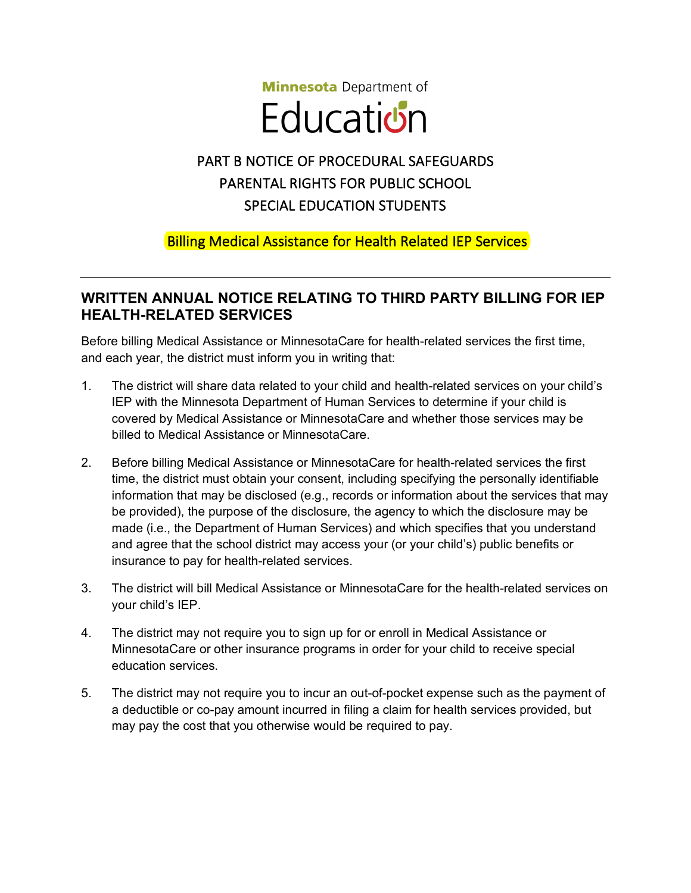**Minnesota** Department of

## **Education**

## PART B NOTICE OF PROCEDURAL SAFEGUARDS PARENTAL RIGHTS FOR PUBLIC SCHOOL SPECIAL EDUCATION STUDENTS

## Billing Medical Assistance for Health Related IEP Services

## **WRITTEN ANNUAL NOTICE RELATING TO THIRD PARTY BILLING FOR IEP HEALTH-RELATED SERVICES**

Before billing Medical Assistance or MinnesotaCare for health-related services the first time, and each year, the district must inform you in writing that:

- 1. The district will share data related to your child and health-related services on your child's IEP with the Minnesota Department of Human Services to determine if your child is covered by Medical Assistance or MinnesotaCare and whether those services may be billed to Medical Assistance or MinnesotaCare.
- 2. Before billing Medical Assistance or MinnesotaCare for health-related services the first time, the district must obtain your consent, including specifying the personally identifiable information that may be disclosed (e.g., records or information about the services that may be provided), the purpose of the disclosure, the agency to which the disclosure may be made (i.e., the Department of Human Services) and which specifies that you understand and agree that the school district may access your (or your child's) public benefits or insurance to pay for health-related services.
- 3. The district will bill Medical Assistance or MinnesotaCare for the health-related services on your child's IEP.
- 4. The district may not require you to sign up for or enroll in Medical Assistance or MinnesotaCare or other insurance programs in order for your child to receive special education services.
- 5. The district may not require you to incur an out-of-pocket expense such as the payment of a deductible or co-pay amount incurred in filing a claim for health services provided, but may pay the cost that you otherwise would be required to pay.